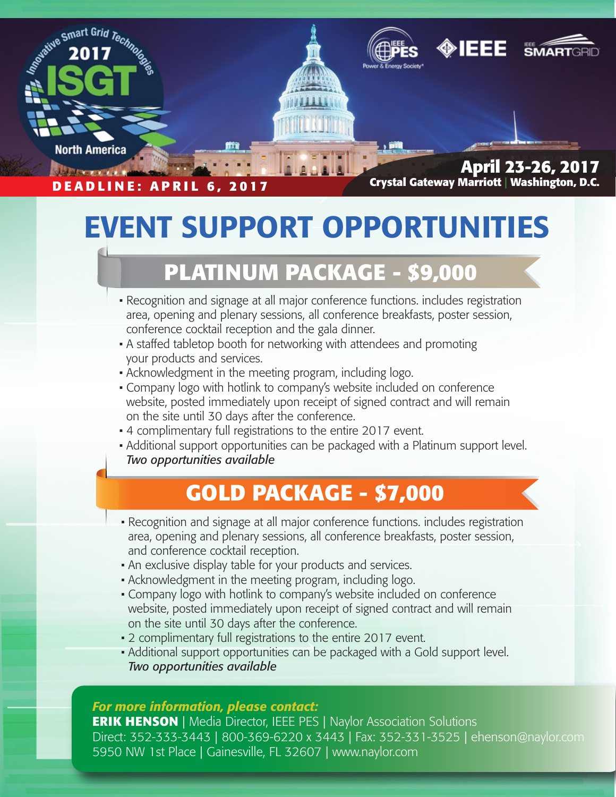

## EVENT SUPPORT OPPORTUNITIES

## **PLATINUM PACKAGE - \$9,000**

- Recognition and signage at all major conference functions. includes registration area, opening and plenary sessions, all conference breakfasts, poster session, conference cocktail reception and the gala dinner.
- A staffed tabletop booth for networking with attendees and promoting your products and services.
- Acknowledgment in the meeting program, including logo.
- Company logo with hotlink to company's website included on conference website, posted immediately upon receipt of signed contract and will remain on the site until 30 days after the conference.
- 4 complimentary full registrations to the entire 2017 event.
- Additional support opportunities can be packaged with a Platinum support level. *Two opportunities available*

### **GOLD PACKAGE - \$7,000**

- Recognition and signage at all major conference functions. includes registration area, opening and plenary sessions, all conference breakfasts, poster session, and conference cocktail reception.
- An exclusive display table for your products and services.
- Acknowledgment in the meeting program, including logo.
- Company logo with hotlink to company's website included on conference website, posted immediately upon receipt of signed contract and will remain on the site until 30 days after the conference.
- 2 complimentary full registrations to the entire 2017 event.
- Additional support opportunities can be packaged with a Gold support level. *Two opportunities available*

#### *For more information, please contact:*

**ERIK HENSON** | Media Director, IEEE PES | Naylor Association Solutions Direct: 352-333-3443 | 800-369-6220 x 3443 | Fax: 352-331-3525 | ehenson@naylor.com 5950 NW 1st Place | Gainesville, FL 32607 | www.naylor.com